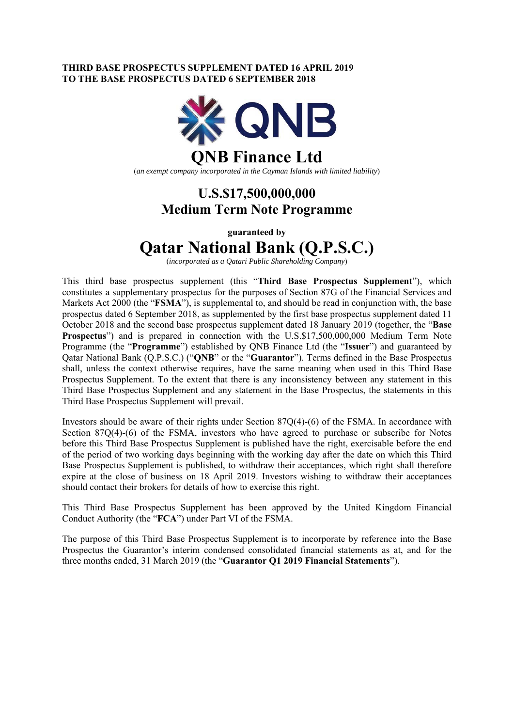### **THIRD BASE PROSPECTUS SUPPLEMENT DATED 16 APRIL 2019 TO THE BASE PROSPECTUS DATED 6 SEPTEMBER 2018**



(*an exempt company incorporated in the Cayman Islands with limited liability*)

## **U.S.\$17,500,000,000 Medium Term Note Programme**

**guaranteed by** 

# **Qatar National Bank (Q.P.S.C.)**

(*incorporated as a Qatari Public Shareholding Company*)

This third base prospectus supplement (this "**Third Base Prospectus Supplement**"), which constitutes a supplementary prospectus for the purposes of Section 87G of the Financial Services and Markets Act 2000 (the "**FSMA**"), is supplemental to, and should be read in conjunction with, the base prospectus dated 6 September 2018, as supplemented by the first base prospectus supplement dated 11 October 2018 and the second base prospectus supplement dated 18 January 2019 (together, the "**Base Prospectus**") and is prepared in connection with the U.S.\$17,500,000,000 Medium Term Note Programme (the "**Programme**") established by QNB Finance Ltd (the "**Issuer**") and guaranteed by Qatar National Bank (Q.P.S.C.) ("**QNB**" or the "**Guarantor**"). Terms defined in the Base Prospectus shall, unless the context otherwise requires, have the same meaning when used in this Third Base Prospectus Supplement. To the extent that there is any inconsistency between any statement in this Third Base Prospectus Supplement and any statement in the Base Prospectus, the statements in this Third Base Prospectus Supplement will prevail.

Investors should be aware of their rights under Section 87Q(4)-(6) of the FSMA. In accordance with Section 87Q(4)-(6) of the FSMA, investors who have agreed to purchase or subscribe for Notes before this Third Base Prospectus Supplement is published have the right, exercisable before the end of the period of two working days beginning with the working day after the date on which this Third Base Prospectus Supplement is published, to withdraw their acceptances, which right shall therefore expire at the close of business on 18 April 2019. Investors wishing to withdraw their acceptances should contact their brokers for details of how to exercise this right.

This Third Base Prospectus Supplement has been approved by the United Kingdom Financial Conduct Authority (the "**FCA**") under Part VI of the FSMA.

The purpose of this Third Base Prospectus Supplement is to incorporate by reference into the Base Prospectus the Guarantor's interim condensed consolidated financial statements as at, and for the three months ended, 31 March 2019 (the "**Guarantor Q1 2019 Financial Statements**").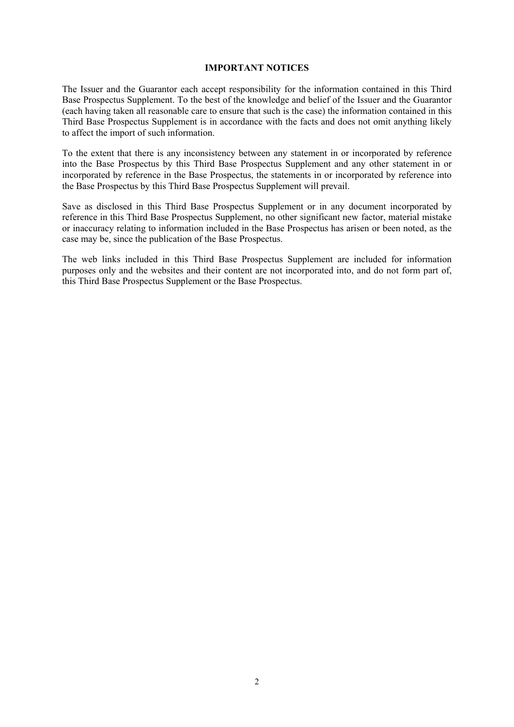### **IMPORTANT NOTICES**

The Issuer and the Guarantor each accept responsibility for the information contained in this Third Base Prospectus Supplement. To the best of the knowledge and belief of the Issuer and the Guarantor (each having taken all reasonable care to ensure that such is the case) the information contained in this Third Base Prospectus Supplement is in accordance with the facts and does not omit anything likely to affect the import of such information.

To the extent that there is any inconsistency between any statement in or incorporated by reference into the Base Prospectus by this Third Base Prospectus Supplement and any other statement in or incorporated by reference in the Base Prospectus, the statements in or incorporated by reference into the Base Prospectus by this Third Base Prospectus Supplement will prevail.

Save as disclosed in this Third Base Prospectus Supplement or in any document incorporated by reference in this Third Base Prospectus Supplement, no other significant new factor, material mistake or inaccuracy relating to information included in the Base Prospectus has arisen or been noted, as the case may be, since the publication of the Base Prospectus.

The web links included in this Third Base Prospectus Supplement are included for information purposes only and the websites and their content are not incorporated into, and do not form part of, this Third Base Prospectus Supplement or the Base Prospectus.